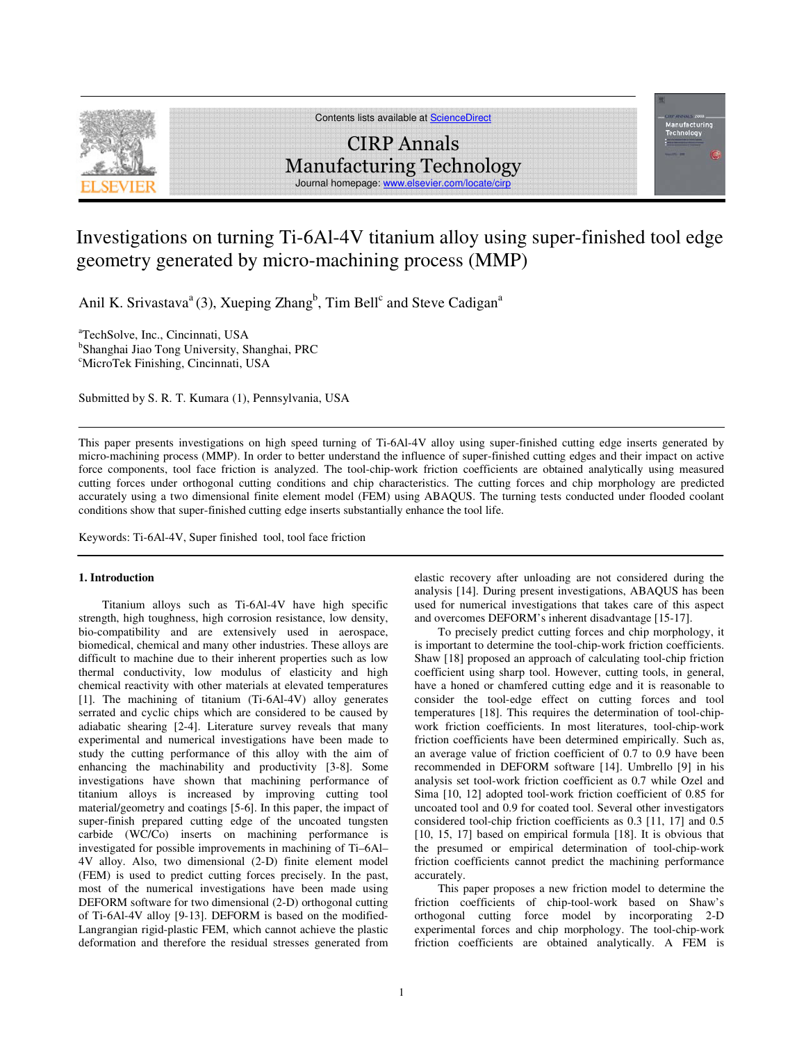

Contents lists available at ScienceDirect

# CIRP Annals Manufacturing Technology Journal homepage: www.elsevier.c

# Investigations on turning Ti-6Al-4V titanium alloy using super-finished tool edge geometry generated by micro-machining process (MMP)

Anil K. Srivastava<sup>a</sup> (3), Xueping Zhang<sup>b</sup>, Tim Bell<sup>c</sup> and Steve Cadigan<sup>a</sup>

a TechSolve, Inc., Cincinnati, USA b Shanghai Jiao Tong University, Shanghai, PRC <sup>c</sup>MicroTek Finishing, Cincinnati, USA

Submitted by S. R. T. Kumara (1), Pennsylvania, USA

This paper presents investigations on high speed turning of Ti-6Al-4V alloy using super-finished cutting edge inserts generated by micro-machining process (MMP). In order to better understand the influence of super-finished cutting edges and their impact on active force components, tool face friction is analyzed. The tool-chip-work friction coefficients are obtained analytically using measured cutting forces under orthogonal cutting conditions and chip characteristics. The cutting forces and chip morphology are predicted accurately using a two dimensional finite element model (FEM) using ABAQUS. The turning tests conducted under flooded coolant conditions show that super-finished cutting edge inserts substantially enhance the tool life.

Keywords: Ti-6Al-4V, Super finished tool, tool face friction

#### **1. Introduction**

Titanium alloys such as Ti-6Al-4V have high specific strength, high toughness, high corrosion resistance, low density, bio-compatibility and are extensively used in aerospace, biomedical, chemical and many other industries. These alloys are difficult to machine due to their inherent properties such as low thermal conductivity, low modulus of elasticity and high chemical reactivity with other materials at elevated temperatures [1]. The machining of titanium (Ti-6Al-4V) alloy generates serrated and cyclic chips which are considered to be caused by adiabatic shearing [2-4]. Literature survey reveals that many experimental and numerical investigations have been made to study the cutting performance of this alloy with the aim of enhancing the machinability and productivity [3-8]. Some investigations have shown that machining performance of titanium alloys is increased by improving cutting tool material/geometry and coatings [5-6]. In this paper, the impact of super-finish prepared cutting edge of the uncoated tungsten carbide (WC/Co) inserts on machining performance is investigated for possible improvements in machining of Ti–6Al– 4V alloy. Also, two dimensional (2-D) finite element model (FEM) is used to predict cutting forces precisely. In the past, most of the numerical investigations have been made using DEFORM software for two dimensional (2-D) orthogonal cutting of Ti-6Al-4V alloy [9-13]. DEFORM is based on the modified-Langrangian rigid-plastic FEM, which cannot achieve the plastic deformation and therefore the residual stresses generated from

elastic recovery after unloading are not considered during the analysis [14]. During present investigations, ABAQUS has been used for numerical investigations that takes care of this aspect and overcomes DEFORM's inherent disadvantage [15-17].

To precisely predict cutting forces and chip morphology, it is important to determine the tool-chip-work friction coefficients. Shaw [18] proposed an approach of calculating tool-chip friction coefficient using sharp tool. However, cutting tools, in general, have a honed or chamfered cutting edge and it is reasonable to consider the tool-edge effect on cutting forces and tool temperatures [18]. This requires the determination of tool-chipwork friction coefficients. In most literatures, tool-chip-work friction coefficients have been determined empirically. Such as, an average value of friction coefficient of 0.7 to 0.9 have been recommended in DEFORM software [14]. Umbrello [9] in his analysis set tool-work friction coefficient as 0.7 while Ozel and Sima [10, 12] adopted tool-work friction coefficient of 0.85 for uncoated tool and 0.9 for coated tool. Several other investigators considered tool-chip friction coefficients as 0.3 [11, 17] and 0.5 [10, 15, 17] based on empirical formula [18]. It is obvious that the presumed or empirical determination of tool-chip-work friction coefficients cannot predict the machining performance accurately.

This paper proposes a new friction model to determine the friction coefficients of chip-tool-work based on Shaw's orthogonal cutting force model by incorporating 2-D experimental forces and chip morphology. The tool-chip-work friction coefficients are obtained analytically. A FEM is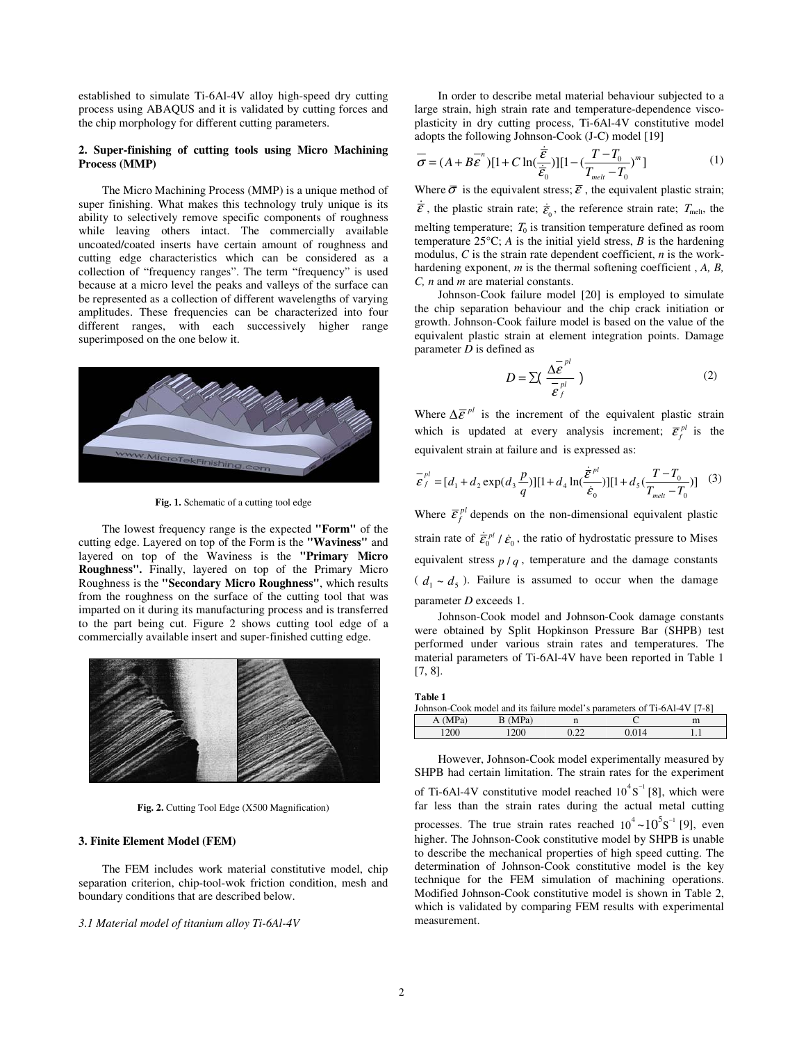established to simulate Ti-6Al-4V alloy high-speed dry cutting process using ABAQUS and it is validated by cutting forces and the chip morphology for different cutting parameters.

### **2. Super-finishing of cutting tools using Micro Machining Process (MMP)**

The Micro Machining Process (MMP) is a unique method of super finishing. What makes this technology truly unique is its ability to selectively remove specific components of roughness while leaving others intact. The commercially available uncoated/coated inserts have certain amount of roughness and cutting edge characteristics which can be considered as a collection of "frequency ranges". The term "frequency" is used because at a micro level the peaks and valleys of the surface can be represented as a collection of different wavelengths of varying amplitudes. These frequencies can be characterized into four different ranges, with each successively higher range superimposed on the one below it.



Fig. 1. Schematic of a cutting tool edge

The lowest frequency range is the expected **"Form"** of the cutting edge. Layered on top of the Form is the **"Waviness"** and layered on top of the Waviness is the **"Primary Micro Roughness".** Finally, layered on top of the Primary Micro Roughness is the **"Secondary Micro Roughness"**, which results from the roughness on the surface of the cutting tool that was imparted on it during its manufacturing process and is transferred to the part being cut. Figure 2 shows cutting tool edge of a commercially available insert and super-finished cutting edge.



**Fig. 2.** Cutting Tool Edge (X500 Magnification)

#### **3. Finite Element Model (FEM)**

The FEM includes work material constitutive model, chip separation criterion, chip-tool-wok friction condition, mesh and boundary conditions that are described below.

#### *3.1 Material model of titanium alloy Ti-6Al-4V*

In order to describe metal material behaviour subjected to a large strain, high strain rate and temperature-dependence viscoplasticity in dry cutting process, Ti-6Al-4V constitutive model adopts the following Johnson-Cook (J-C) model [19]

$$
\vec{\sigma} = (A + B\vec{\varepsilon}^n)[1 + C\ln(\frac{\dot{\vec{\varepsilon}}}{\dot{\vec{\varepsilon}}_0})][1 - (\frac{T - T_0}{T_{melt} - T_0})^m]
$$
(1)

Where  $\bar{\sigma}$  is the equivalent stress;  $\bar{\varepsilon}$ , the equivalent plastic strain;

 $\dot{\vec{\varepsilon}}$ , the plastic strain rate;  $\dot{\vec{\varepsilon}}_0$ , the reference strain rate;  $T_{\text{melt}}$ , the melting temperature;  $T_0$  is transition temperature defined as room temperature 25°C; *A* is the initial yield stress, *B* is the hardening modulus, *C* is the strain rate dependent coefficient, *n* is the workhardening exponent, *m* is the thermal softening coefficient , *A, B, C, n* and *m* are material constants.

Johnson-Cook failure model [20] is employed to simulate the chip separation behaviour and the chip crack initiation or growth. Johnson-Cook failure model is based on the value of the equivalent plastic strain at element integration points. Damage parameter *D* is defined as

$$
D = \sum \left( \frac{\Delta \bar{\epsilon}^{pl}}{\bar{\epsilon}_{f}} \right) \tag{2}
$$

Where  $\Delta \bar{\epsilon}^{pl}$  is the increment of the equivalent plastic strain which is updated at every analysis increment;  $\overline{\mathcal{E}}_f^{pl}$  is the equivalent strain at failure and is expressed as:

$$
\overline{\mathcal{E}}_f^{pl} = [d_1 + d_2 \exp(d_3 \frac{p}{q})][1 + d_4 \ln(\frac{\dot{\overline{\mathcal{E}}}^{pl}}{\dot{\mathcal{E}}_0})][1 + d_5(\frac{T - T_0}{T_{melt} - T_0})] \quad (3)
$$

Where  $\overline{\mathcal{E}}_f^{pl}$  depends on the non-dimensional equivalent plastic strain rate of  $\dot{\bar{\mathcal{E}}}_0^{pl} / \dot{\mathcal{E}}_0$ , the ratio of hydrostatic pressure to Mises equivalent stress  $p / q$ , temperature and the damage constants  $(d_1 \sim d_5)$ . Failure is assumed to occur when the damage parameter *D* exceeds 1.

Johnson-Cook model and Johnson-Cook damage constants were obtained by Split Hopkinson Pressure Bar (SHPB) test performed under various strain rates and temperatures. The material parameters of Ti-6Al-4V have been reported in Table 1 [7, 8].

| able |  |
|------|--|

| Johnson-Cook model and its failure model's parameters of Ti-6Al-4V [7-8] |      |      |       |  |  |  |
|--------------------------------------------------------------------------|------|------|-------|--|--|--|
| B (MPa)<br>A(MPa)<br>m                                                   |      |      |       |  |  |  |
| 1200                                                                     | 1200 | 0.22 | 0.014 |  |  |  |

However, Johnson-Cook model experimentally measured by SHPB had certain limitation. The strain rates for the experiment of Ti-6Al-4V constitutive model reached  $10^4$ S<sup>-1</sup> [8], which were far less than the strain rates during the actual metal cutting processes. The true strain rates reached  $10^4 \sim 10^5$ S<sup>-1</sup> [9], even higher. The Johnson-Cook constitutive model by SHPB is unable to describe the mechanical properties of high speed cutting. The determination of Johnson-Cook constitutive model is the key technique for the FEM simulation of machining operations. Modified Johnson-Cook constitutive model is shown in Table 2, which is validated by comparing FEM results with experimental measurement.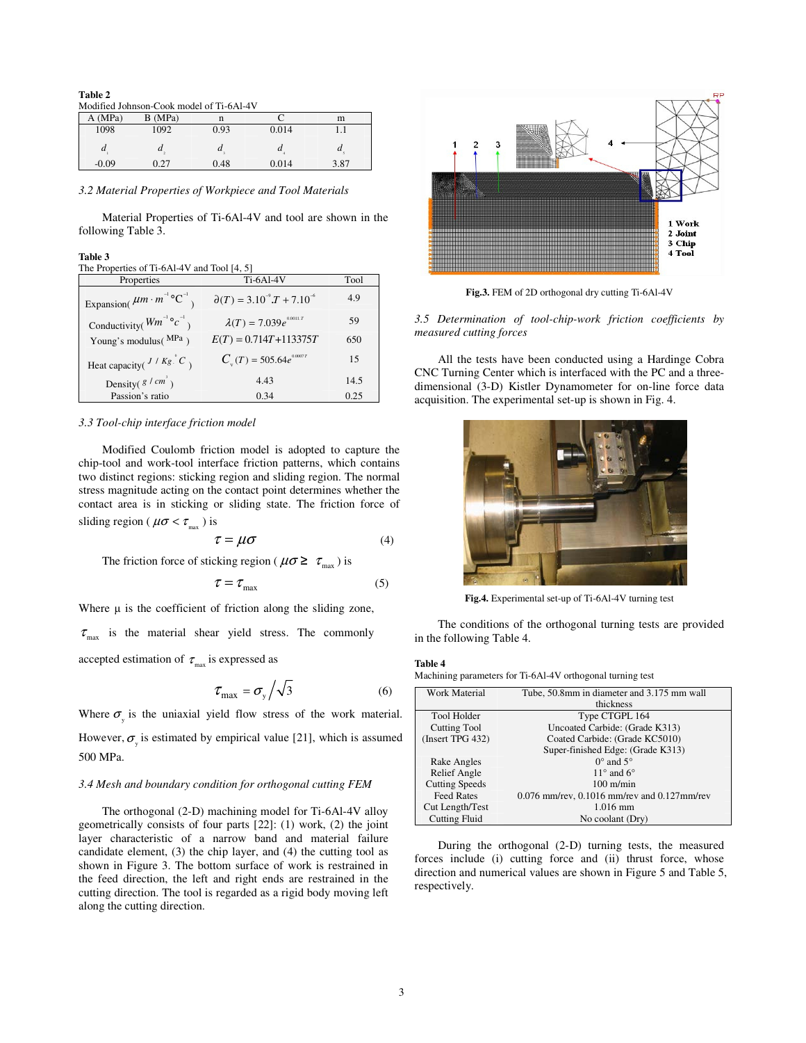#### **Table 2**

Modified Johnson-Cook model of Ti-6Al-4V

| A(MPa)  | B (MPa) | n    |                  | m                |
|---------|---------|------|------------------|------------------|
| 1098    | 1092    | 0.93 | 0.014            | .                |
| a       | u       | u    | $\boldsymbol{u}$ | $\boldsymbol{u}$ |
| $-0.09$ | 0.27    | 0.48 | 0.014            | 3.87             |

*3.2 Material Properties of Workpiece and Tool Materials* 

Material Properties of Ti-6Al-4V and tool are shown in the following Table 3.

#### **Table 3**

The Properties of Ti-6Al-4V and Tool [4, 5]

| Properties                                         | <b>Ti-6Al-4V</b>                        | Tool |
|----------------------------------------------------|-----------------------------------------|------|
| Expansion( $\mu m \cdot m^{-1} {}^{\circ}C^{-1}$ ) | $\partial(T) = 3.10^{-9} T + 7.10^{-6}$ | 4.9  |
| Conductivity( $Wm^{-1}$ ° $c^{-1}$ )               | $\lambda(T) = 7.039e^{0.0011.T}$        | 59   |
| Young's modulus(MPa)                               | $E(T) = 0.714T + 113375T$               | 650  |
| Heat capacity( $J/Kg:C$ )                          | $C_{u}(T) = 505.64e^{0.0007}$           | 15   |
| Density( $g/cm^3$ )                                | 4.43                                    | 14.5 |
| Passion's ratio                                    | 0.34                                    | 0.25 |

#### *3.3 Tool-chip interface friction model*

Modified Coulomb friction model is adopted to capture the chip-tool and work-tool interface friction patterns, which contains two distinct regions: sticking region and sliding region. The normal stress magnitude acting on the contact point determines whether the contact area is in sticking or sliding state. The friction force of sliding region ( $\mu \sigma < \tau_{\text{max}}$ ) is

$$
\tau = \mu \sigma \tag{4}
$$

The friction force of sticking region ( $\mu \sigma \ge \tau_{\text{max}}$ ) is

$$
\tau = \tau_{\text{max}} \tag{5}
$$

Where  $\mu$  is the coefficient of friction along the sliding zone,

 $\tau_{\text{max}}$  is the material shear yield stress. The commonly

accepted estimation of  $\tau_{\text{max}}$  is expressed as

$$
\tau_{\text{max}} = \sigma_{\text{y}} / \sqrt{3} \tag{6}
$$

Where  $\sigma_{y}$  is the uniaxial yield flow stress of the work material. However,  $\sigma_{y}$  is estimated by empirical value [21], which is assumed 500 MPa.

#### *3.4 Mesh and boundary condition for orthogonal cutting FEM*

The orthogonal (2-D) machining model for Ti-6Al-4V alloy geometrically consists of four parts [22]: (1) work, (2) the joint layer characteristic of a narrow band and material failure candidate element, (3) the chip layer, and (4) the cutting tool as shown in Figure 3. The bottom surface of work is restrained in the feed direction, the left and right ends are restrained in the cutting direction. The tool is regarded as a rigid body moving left along the cutting direction.



**Fig.3.** FEM of 2D orthogonal dry cutting Ti-6Al-4V

*3.5 Determination of tool-chip-work friction coefficients by measured cutting forces* 

All the tests have been conducted using a Hardinge Cobra CNC Turning Center which is interfaced with the PC and a threedimensional (3-D) Kistler Dynamometer for on-line force data acquisition. The experimental set-up is shown in Fig. 4.



**Fig.4.** Experimental set-up of Ti-6Al-4V turning test

The conditions of the orthogonal turning tests are provided in the following Table 4.

#### **Table 4**

Machining parameters for Ti-6Al-4V orthogonal turning test

| Work Material         | Tube, 50.8mm in diameter and 3.175 mm wall         |
|-----------------------|----------------------------------------------------|
|                       | thickness                                          |
| <b>Tool Holder</b>    | Type CTGPL 164                                     |
| Cutting Tool          | Uncoated Carbide: (Grade K313)                     |
| (Insert TPG 432)      | Coated Carbide: (Grade KC5010)                     |
|                       | Super-finished Edge: (Grade K313)                  |
| Rake Angles           | $0^{\circ}$ and $5^{\circ}$                        |
| Relief Angle          | $11^{\circ}$ and 6°                                |
| <b>Cutting Speeds</b> | $100 \text{ m/min}$                                |
| <b>Feed Rates</b>     | $0.076$ mm/rev, $0.1016$ mm/rev and $0.127$ mm/rev |
| Cut Length/Test       | $1.016$ mm                                         |
| <b>Cutting Fluid</b>  | No coolant (Dry)                                   |

During the orthogonal (2-D) turning tests, the measured forces include (i) cutting force and (ii) thrust force, whose direction and numerical values are shown in Figure 5 and Table 5, respectively.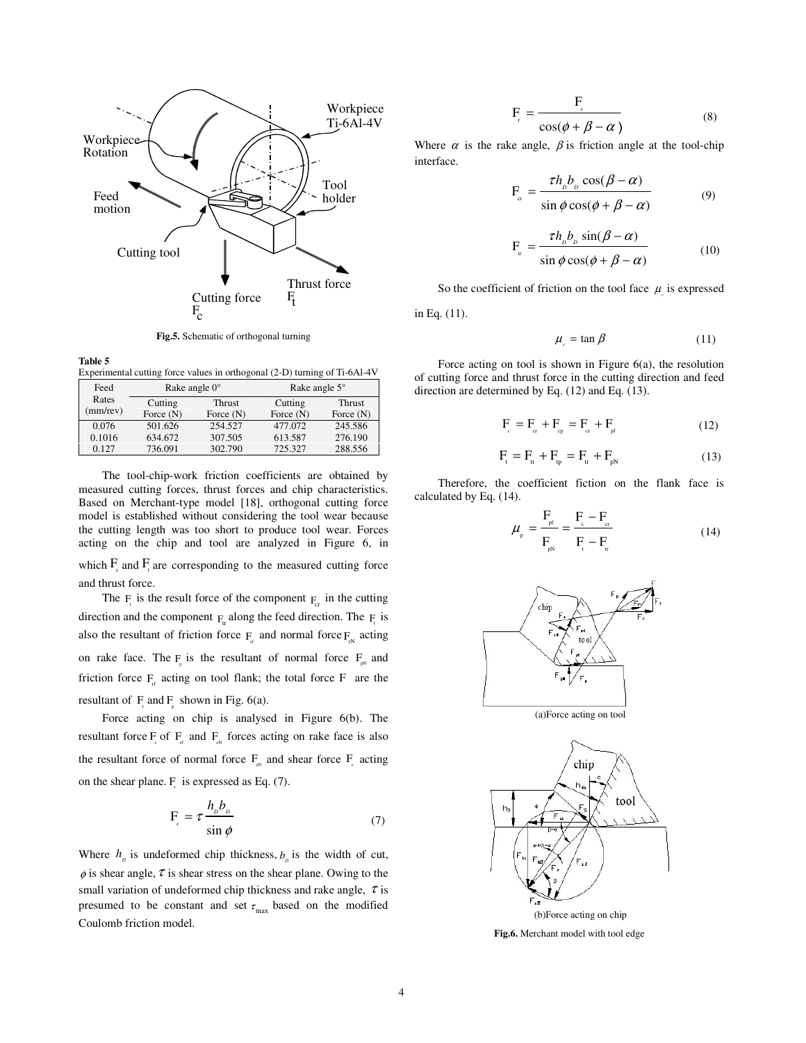

**Fig.5.** Schematic of orthogonal turning

**Table 5**  ntal cutting force values in orthogonal (2-D) turning of Ti-6A1-4V

|      | $\triangle$ pointental cutting force values in orthogonal (2-D) turning of TPOAP++ v |                        |             |               |             |
|------|--------------------------------------------------------------------------------------|------------------------|-------------|---------------|-------------|
| Feed |                                                                                      | Rake angle $0^{\circ}$ |             | Rake angle 5° |             |
|      | Rates                                                                                | Cutting                | Thrust      | Cutting       | Thrust      |
|      | (mm/rev)                                                                             | Force $(N)$            | Force $(N)$ | Force $(N)$   | Force $(N)$ |
|      | 0.076                                                                                | 501.626                | 254.527     | 477.072       | 245.586     |
|      | 0.1016                                                                               | 634.672                | 307.505     | 613.587       | 276.190     |
|      | 0.127                                                                                | 736.091                | 302.790     | 725.327       | 288.556     |

The tool-chip-work friction coefficients are obtained by measured cutting forces, thrust forces and chip characteristics. Based on Merchant-type model [18], orthogonal cutting force model is established without considering the tool wear because the cutting length was too short to produce tool wear. Forces acting on the chip and tool are analyzed in Figure 6, in

which  $F_c$  and  $F_t$  are corresponding to the measured cutting force and thrust force.

The  $F_r$  is the result force of the component  $F_{cr}$  in the cutting direction and the component  $F_{tr}$  along the feed direction. The  $F_{tr}$  is also the resultant of friction force  $F_{\text{rf}}$  and normal force  $F_{\text{rN}}$  acting on rake face. The  $F_{p}$  is the resultant of normal force  $F_{p}$  and friction force  $F_{\text{rf}}$  acting on tool flank; the total force F are the resultant of  $F<sub>r</sub>$  and  $F<sub>p</sub>$  shown in Fig. 6(a).

Force acting on chip is analysed in Figure 6(b). The resultant force  $F_r$  of  $F_{\text{at}}$  and  $F_{\text{at}}$  forces acting on rake face is also the resultant force of normal force  $F_{\text{N}}$  and shear force  $F_{\text{s}}$  acting on the shear plane.  $F_r$  is expressed as Eq. (7).

$$
F_s = \tau \frac{h_b b_b}{\sin \phi} \tag{7}
$$

Where  $h_{\rho}$  is undeformed chip thickness,  $b_{\rho}$  is the width of cut,  $\phi$  is shear angle,  $\tau$  is shear stress on the shear plane. Owing to the small variation of undeformed chip thickness and rake angle,  $\tau$  is presumed to be constant and set  $\tau_{\text{max}}$  based on the modified Coulomb friction model.

$$
F_r = \frac{F_s}{\cos(\phi + \beta - \alpha)}
$$
 (8)

Where  $\alpha$  is the rake angle,  $\beta$  is friction angle at the tool-chip interface.

$$
F_{cr} = \frac{\tau h_{p} b_{p} \cos(\beta - \alpha)}{\sin \phi \cos(\phi + \beta - \alpha)}
$$
(9)

$$
F_{\rm tr} = \frac{\tau h_{\rm p} b_{\rm p} \sin(\beta - \alpha)}{\sin \phi \cos(\phi + \beta - \alpha)} \tag{10}
$$

So the coefficient of friction on the tool face  $\mu<sub>r</sub>$  is expressed

in Eq. (11).

$$
\mu_{r} = \tan \beta \tag{11}
$$

Force acting on tool is shown in Figure 6(a), the resolution of cutting force and thrust force in the cutting direction and feed direction are determined by Eq. (12) and Eq. (13).

$$
F_c = F_{cr} + F_{cp} = F_{cr} + F_{pl}
$$
 (12)

$$
F_{t} = F_{tr} + F_{tp} = F_{tr} + F_{pN}
$$
 (13)

Therefore, the coefficient fiction on the flank face is calculated by Eq. (14).

$$
\mu_{P} = \frac{F_{p}f}{F_{p}F_{p}} = \frac{F_{c} - F_{cr}}{F_{c} - F_{tr}}
$$
\n(14)

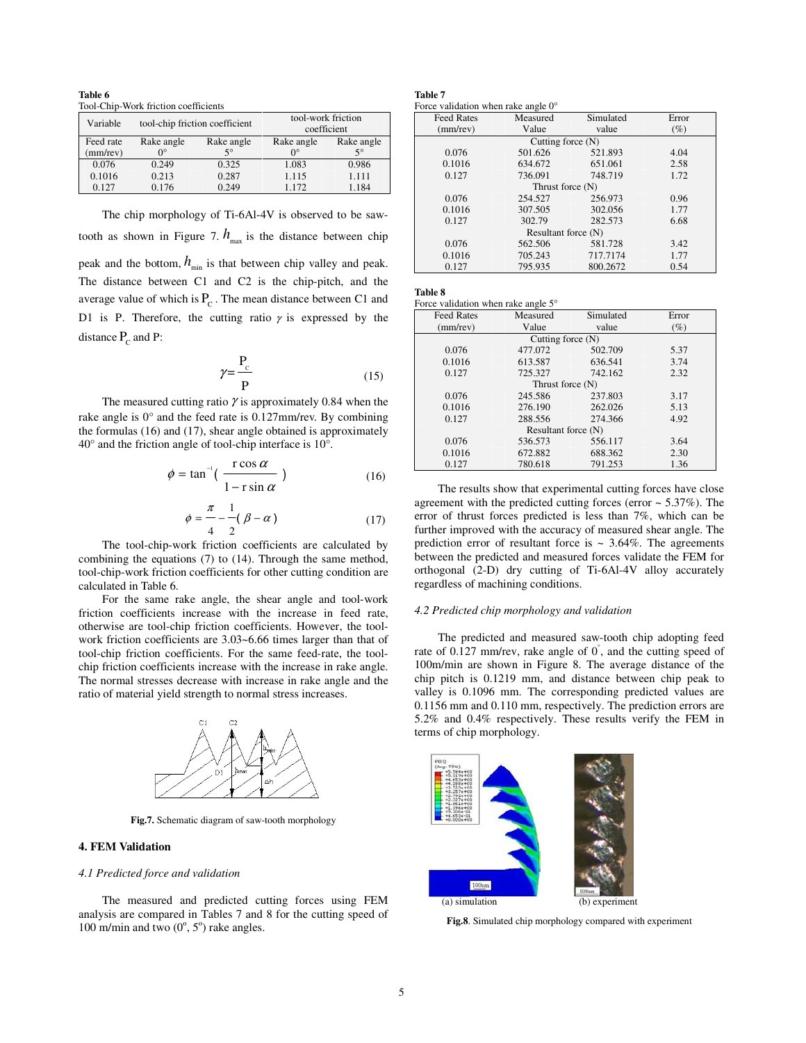**Table 6**  Tool-Chip-Work friction coefficients

| Variable  | tool-chip friction coefficient |             | tool-work friction<br>coefficient |             |  |
|-----------|--------------------------------|-------------|-----------------------------------|-------------|--|
| Feed rate | Rake angle                     | Rake angle  | Rake angle                        | Rake angle  |  |
| (mm/rev)  | $0^{\circ}$                    | $5^{\circ}$ | $\Omega^{\circ}$                  | $5^{\circ}$ |  |
| 0.076     | 0.249                          | 0.325       | 1.083                             | 0.986       |  |
| 0.1016    | 0.213                          | 0.287       | 1.115                             | 1.111       |  |
| 0.127     | 0.176                          | 0.249       | 1.172                             | 1.184       |  |

The chip morphology of Ti-6Al-4V is observed to be sawtooth as shown in Figure 7.  $h_{\text{max}}$  is the distance between chip peak and the bottom,  $h_{\min}$  is that between chip valley and peak. The distance between C1 and C2 is the chip-pitch, and the average value of which is  $P_c$ . The mean distance between C1 and D1 is P. Therefore, the cutting ratio  $\gamma$  is expressed by the distance  $P_c$  and P:

$$
\gamma = \frac{P_c}{P}
$$
 (15)

The measured cutting ratio  $\gamma$  is approximately 0.84 when the rake angle is 0° and the feed rate is 0.127mm/rev. By combining the formulas (16) and (17), shear angle obtained is approximately 40° and the friction angle of tool-chip interface is 10°.

$$
\phi = \tan^{-1}\left(\frac{\cos \alpha}{1 - \sin \alpha}\right) \tag{16}
$$

$$
\phi = \frac{\pi}{4} - \frac{1}{2} (\beta - \alpha) \tag{17}
$$

The tool-chip-work friction coefficients are calculated by combining the equations (7) to (14). Through the same method, tool-chip-work friction coefficients for other cutting condition are calculated in Table 6.

For the same rake angle, the shear angle and tool-work friction coefficients increase with the increase in feed rate, otherwise are tool-chip friction coefficients. However, the toolwork friction coefficients are 3.03~6.66 times larger than that of tool-chip friction coefficients. For the same feed-rate, the toolchip friction coefficients increase with the increase in rake angle. The normal stresses decrease with increase in rake angle and the ratio of material yield strength to normal stress increases.



**Fig.7.** Schematic diagram of saw-tooth morphology

#### **4. FEM Validation**

#### *4.1 Predicted force and validation*

The measured and predicted cutting forces using FEM analysis are compared in Tables 7 and 8 for the cutting speed of 100 m/min and two  $(0^{\circ}, 5^{\circ})$  rake angles.

## **Table 7**

|  | Force validation when rake angle $0^{\circ}$ |
|--|----------------------------------------------|
|--|----------------------------------------------|

| <b>Feed Rates</b>   | Measured            | Simulated | Error  |  |
|---------------------|---------------------|-----------|--------|--|
| $(mm$ /rev $)$      | Value               | value     | $(\%)$ |  |
|                     | Cutting force $(N)$ |           |        |  |
| 0.076               | 501.626             | 521.893   | 4.04   |  |
| 0.1016              | 634.672             | 651.061   | 2.58   |  |
| 0.127               | 736.091             | 748.719   | 1.72   |  |
|                     | Thrust force (N)    |           |        |  |
| 0.076               | 254.527             | 256.973   | 0.96   |  |
| 0.1016              | 307.505             | 302.056   | 1.77   |  |
| 0.127               | 302.79              | 282.573   | 6.68   |  |
| Resultant force (N) |                     |           |        |  |
| 0.076               | 562.506             | 581.728   | 3.42   |  |
| 0.1016              | 705.243             | 717.7174  | 1.77   |  |
| 0.127               | 795.935             | 800.2672  | 0.54   |  |

| $\sim$<br>۰.<br>×<br>۰, | ۰, |
|-------------------------|----|
|-------------------------|----|

| Force validation when rake angle 5° |  |  |
|-------------------------------------|--|--|
|                                     |  |  |

| <b>Feed Rates</b> | Measured            | Simulated | Error  |  |
|-------------------|---------------------|-----------|--------|--|
| $(mm$ /rev $)$    | Value               | value     | $(\%)$ |  |
|                   | Cutting force $(N)$ |           |        |  |
| 0.076             | 477.072             | 502.709   | 5.37   |  |
| 0.1016            | 613.587             | 636.541   | 3.74   |  |
| 0.127             | 725.327             | 742.162   | 2.32   |  |
|                   | Thrust force $(N)$  |           |        |  |
| 0.076             | 245.586             | 237.803   | 3.17   |  |
| 0.1016            | 276.190             | 262.026   | 5.13   |  |
| 0.127             | 288.556             | 274.366   | 4.92   |  |
|                   | Resultant force (N) |           |        |  |
| 0.076             | 536.573             | 556.117   | 3.64   |  |
| 0.1016            | 672.882             | 688.362   | 2.30   |  |
| 0.127             | 780.618             | 791.253   | 1.36   |  |

The results show that experimental cutting forces have close agreement with the predicted cutting forces (error  $\sim$  5.37%). The error of thrust forces predicted is less than 7%, which can be further improved with the accuracy of measured shear angle. The prediction error of resultant force is  $\sim 3.64\%$ . The agreements between the predicted and measured forces validate the FEM for orthogonal (2-D) dry cutting of Ti-6Al-4V alloy accurately regardless of machining conditions.

#### *4.2 Predicted chip morphology and validation*

The predicted and measured saw-tooth chip adopting feed rate of  $0.127$  mm/rev, rake angle of  $0^{\degree}$ , and the cutting speed of 100m/min are shown in Figure 8. The average distance of the chip pitch is 0.1219 mm, and distance between chip peak to valley is 0.1096 mm. The corresponding predicted values are 0.1156 mm and 0.110 mm, respectively. The prediction errors are 5.2% and 0.4% respectively. These results verify the FEM in terms of chip morphology.



**Fig.8**. Simulated chip morphology compared with experiment